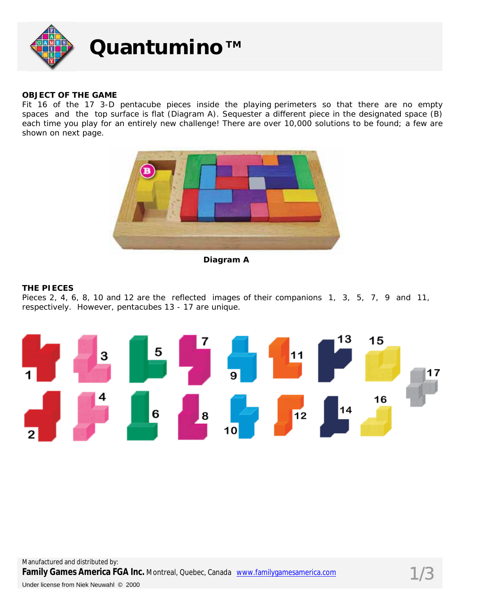

## **OBJECT OF THE GAME**

Fit 16 of the 17 3-D pentacube pieces inside the playing perimeters so that there are no empty spaces and the top surface is flat (Diagram A). Sequester a different piece in the designated space (B) each time you play for an entirely new challenge! There are over 10,000 solutions to be found; a few are shown on next page.



**Diagram A** 

## **THE PIECES**

Pieces 2, 4, 6, 8, 10 and 12 are the reflected images of their companions 1, 3, 5, 7, 9 and 11, respectively. However, pentacubes 13 - 17 are unique.

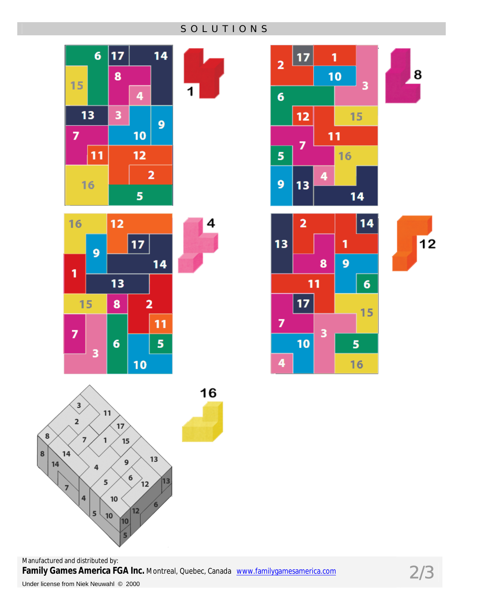**SOLUTIONS** 





4







 $12$ 

8



Manufactured and distributed by: Family Games America FGA Inc. Montreal, Quebec, Canada www.familygamesamerica.com